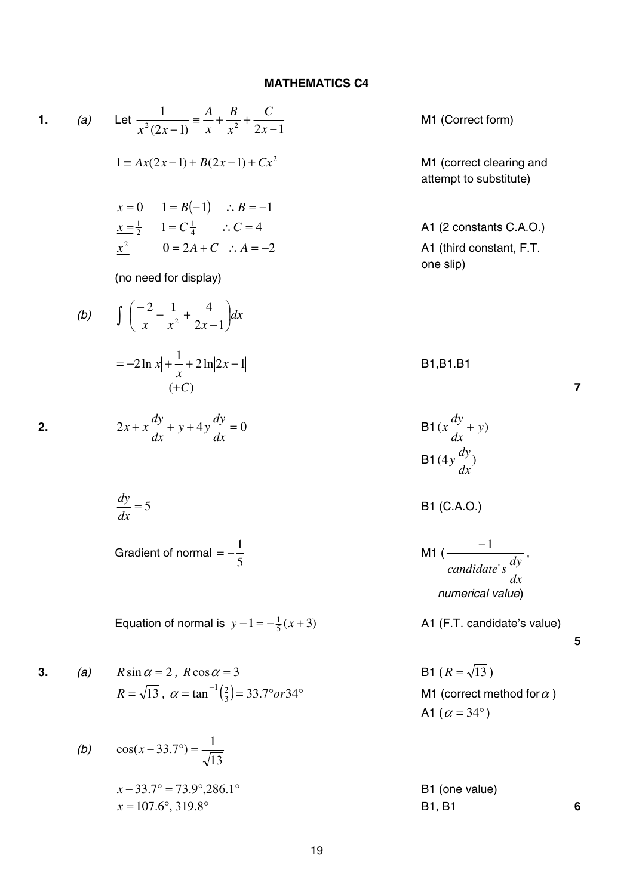## **MATHEMATICS C4**

1. (a) Let 
$$
\frac{1}{x^2(2x-1)} = \frac{A}{x} + \frac{B}{x^2} + \frac{C}{2x-1}
$$
  
\n $1 = Ax(2x-1) + B(2x-1) + Cx^2$   
\n $1 = B(-1)$   $\therefore B = -1$   
\n $\frac{x-1}{2}$   $1 = C\frac{1}{4}$   $\therefore C = 4$   
\n $0 = 2A + C$   $\therefore A = -2$   
\n $\frac{1}{2}$   $0 = 2A + C$   $\therefore A = -2$   
\n $\frac{1}{2}$   $0 = 2A + C$   $\therefore A = -2$   
\n $\frac{1}{2}$   $0 = 2A + C$   $\therefore A = -2$   
\n $\frac{1}{2}$   $0 = 2A + C$   $\therefore A = -2$   
\n $\frac{1}{2}$   $0 = 2A + C$   $\therefore A = -2$   
\n $\frac{1}{2}$   $0 = 2A + C$   $\therefore A = -2$   
\n $\frac{1}{2}$   $0 = 2A + C$   $\therefore A = -2$   
\n $\frac{1}{2}$   $0 = 2A + C$   $\therefore A = -2$   
\n $\frac{1}{2}$   $\frac{1}{2}$   $\frac{1}{2}$   $\frac{1}{2}$   $\frac{1}{2}$   $\frac{1}{2}$   $\frac{1}{2}$   $\frac{1}{2}$   $\frac{1}{2}$   $\frac{1}{2}$   $\frac{1}{2}$   $\frac{1}{2}$   $\frac{1}{2}$   $\frac{1}{2}$   $\frac{1}{2}$   $\frac{1}{2}$   $\frac{1}{2}$   $\frac{1}{2}$   $\frac{1}{2}$   $\frac{1}{2}$   $\frac{1}{2}$   $\frac{1}{2}$   $\frac{1}{2}$   $\frac{1}{2}$   $\frac{1$ 

 $x = 107.6^{\circ}, 319.8^{\circ}$  B1, B1 **6**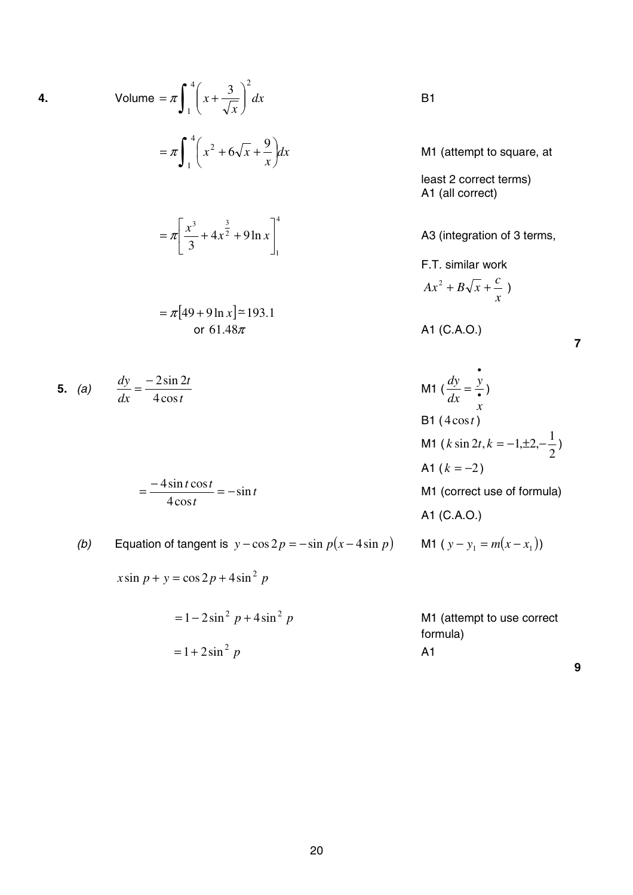4. Volume = 
$$
\pi \int_{1}^{4} \left(x + \frac{3}{\sqrt{x}}\right)^{2} dx
$$
  
\n
$$
= \pi \int_{1}^{4} \left(x^{2} + 6\sqrt{x} + \frac{9}{x}\right) dx
$$
  
\n
$$
= \pi \left[\frac{x^{3}}{3} + 4x^{\frac{3}{2}} + 9\ln x\right]_{1}^{4}
$$
  
\n
$$
= \pi [49 + 9\ln x] \approx 193.1
$$
  
\n5. (a)  $\frac{dy}{dx} = \frac{-2\sin 2t}{4\cos t}$   
\n $\frac{dy}{dx} = \frac{-2\sin 2t}{4\cos t}$   
\n $\frac{dy}{dx} = \frac{3\sin 2t}{4\cos t}$   
\n $\frac{dy}{dx} = \frac{3\sin 2t}{4\cos t}$   
\n $\frac{dy}{dx} = \frac{3\sin 2t}{4\cos t}$   
\n $\frac{dy}{dx} = \frac{3\sin 2t}{4\cos t}$   
\n $\frac{dy}{dx} = \frac{3\sin 2t}{4\cos t}$ 

$$
=\frac{-4\sin t \cos t}{4\cos t}=-\sin t
$$

(b) Equation of tangent is  $y - \cos 2p = -\sin p(x - 4\sin p)$ 

*dx*

 $x \sin p + y = \cos 2p + 4\sin^2 p$ 

*p p* <sup>2</sup> <sup>2</sup> = 1− 2sin + 4sin M1 (attempt to use correct formula) *p* <sup>2</sup> = 1+ 2sin A1

M1 (attempt to square, at

least 2 correct terms) A1 (all correct)

A3 (integration of 3 terms,

F.T. similar work *x*  $Ax^{2} + B\sqrt{x} + C$ 

A1 (C.A.O.)

**7**

$$
= \frac{-2\sin 2t}{4\cos t}
$$
\nM1  $\left(\frac{dy}{dx} = \frac{y}{x}\right)$   
\nB1 (4 cos t)  
\nM1 (k sin 2t, k = -1, ±2, - $\frac{1}{2}$ )  
\nA1 (k = -2)  
\nM1 (correct use of formula)  
\nA1 (C.A.O.)  
\n  
\nM1 (correct use of formula)  
\nA1 (C.A.O.)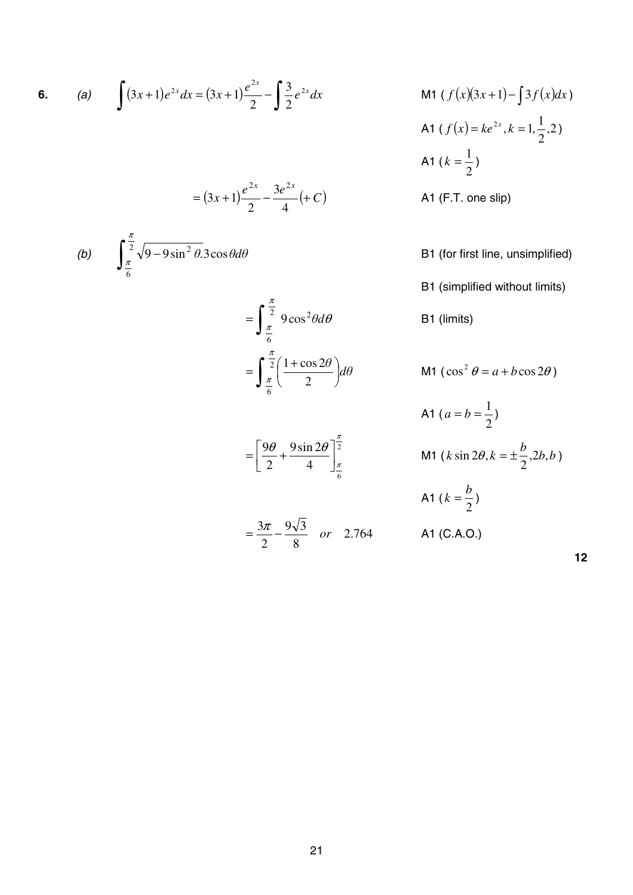6. (a) 
$$
\int (3x+1)e^{2x} dx = (3x+1)\frac{e^{2x}}{2} - \int \frac{3}{2}e^{2x} dx
$$
 M1  $(f(x)(3x+1) - \int 3f(x)dx)$ 

$$
= (3x+1)\frac{e^{2x}}{2} - \frac{3e^{2x}}{4}(+C)
$$

(b) 
$$
\int_{\frac{\pi}{6}}^{\frac{\pi}{2}} \sqrt{9 - 9\sin^2 \theta} \cdot 3\cos\theta d\theta
$$

$$
= \int_{\frac{\pi}{6}}^{\frac{\pi}{2}} 9 \cos^2 \theta d\theta
$$

$$
= \int_{\frac{\pi}{6}}^{\frac{\pi}{2}} \left( \frac{1 + \cos 2\theta}{2} \right) d\theta
$$

2

π

2.764

4  $\frac{1}{6}$ 

9sin 2

9 $\theta$ , 9sin 2 $\theta$ ]<sup> $\frac{\pi}{2}$ </sup>

 $\theta$  9sin 2 $\theta$ 

8  $9\sqrt{3}$ 

2

2

M1 
$$
(f(x)(3x+1)-3f(x)dx)
$$
  
A1  $(f(x)=ke^{2x}, k=1, \frac{1}{2}, 2)$   
A1  $(k=\frac{1}{2})$ 

- A1 (F.T. one slip)
- B1 (for first line, unsimplified)
- B1 (simplified without limits)
- B1 (limits)

$$
\int_{\pi}^{2} \left( \frac{1 + \cos 2\theta}{2} \right) d\theta
$$
 M1  $(\cos^2 \theta = a + b \cos 2\theta)$ 

$$
A1 (a = b = \frac{1}{2})
$$
  
=  $\left[\frac{9\theta}{2} + \frac{9\sin 2\theta}{4}\right]_{\frac{\pi}{6}}^{\frac{\pi}{2}}$   
M1 (k sin 2\theta, k =  $\pm \frac{b}{2}$ , 2b, b)  
  
A1 (k =  $\frac{b}{2}$ )  
  
A2 (C.A.O.)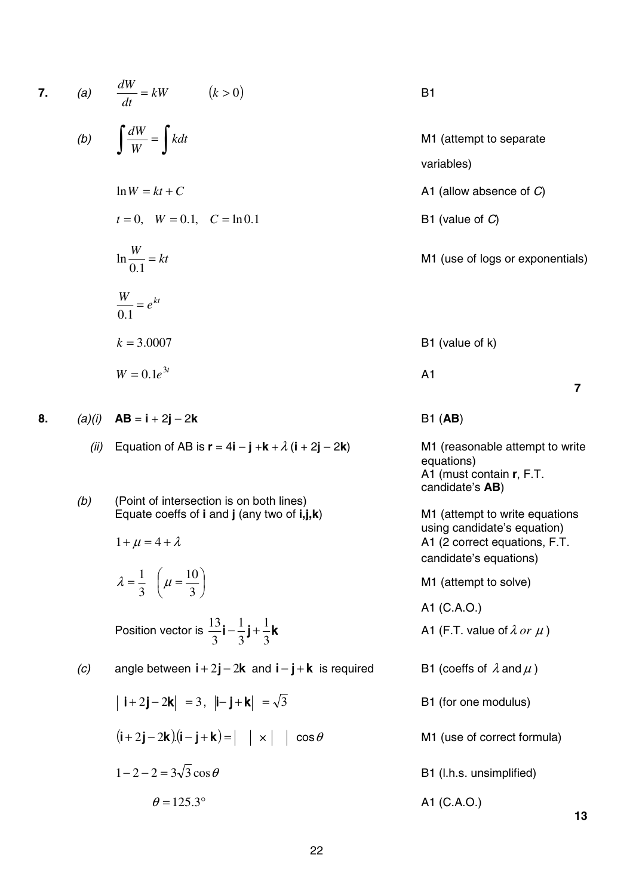7. (a) 
$$
\frac{dW}{dt} = kW
$$
 (k > 0)  
\n(b)  $\int \frac{dW}{W} = \int kdt$   
\n $\ln W = kt + C$   
\n $t = 0, W = 0.1, C = \ln 0.1$   
\n $\ln \frac{W}{0.1} = kt$   
\n $\frac{W}{0.1} = e^{kt}$   
\nA1 (allow absence of C)  
\nB1 (value of C)  
\nM1 (use of logs or expon  
\nB1 (value of k)  
\nB1 (value of k)

$$
W = 0.1e^{3t}
$$

**8.**  $(a)(i)$  **AB** = **i** + 2**j** – 2**k** B1 (**AB**)

(ii) Equation of AB is  $\mathbf{r} = 4\mathbf{i} - \mathbf{j} + \mathbf{k} + \lambda (\mathbf{i} + 2\mathbf{j} - 2\mathbf{k})$  M1 (reasonable attempt to write

(b) (Point of intersection is on both lines) Equate coeffs of **i** and **j** (any two of **i,j,k**) M1 (attempt to write equations

$$
\lambda = \frac{1}{3} \left( \mu = \frac{10}{3} \right)
$$

Position vector is  $\frac{1}{2}$ **i** -  $\frac{1}{2}$ **j** +  $\frac{1}{2}$ 3 1 3 1 3

(c) angle between  $i + 2j - 2k$  and  $i - j + k$  is required

$$
|\mathbf{i}+2\mathbf{j}-2\mathbf{k}| = 3
$$
,  $|\mathbf{i}-\mathbf{j}+\mathbf{k}| = \sqrt{3}$   
\n $(\mathbf{i}+2\mathbf{j}-2\mathbf{k})(\mathbf{i}-\mathbf{j}+\mathbf{k}) = | \mathbf{x} | \cos \theta$   
\n $1-2-2=3\sqrt{3}\cos \theta$   
\n $\theta = 125.3^{\circ}$   
\nB1 (l.h.s. unsimplified  
\nA1 (C.A.O.)

| M1 (attempt to separate          |
|----------------------------------|
| variables)                       |
| A1 (allow absence of $C$ )       |
| B1 (value of $C$ )               |
| M1 (use of logs or exponentials) |

**B1** (value of k) **7**

equations) A1 (must contain **r**, F.T. candidate's **AB**)

using candidate's equation)  $1 + \mu = 4 + \lambda$  A1 (2 correct equations, F.T. candidate's equations)

M1 (attempt to solve)

A1 (C.A.O.)

A1 (F.T. value of  $\lambda$  or  $\mu$ )

B1 (coeffs of 
$$
\lambda
$$
 and  $\mu$ )

- 
- M1 (use of correct formula)
- B1 (l.h.s. unsimplified)

A1 (C.A.O.)